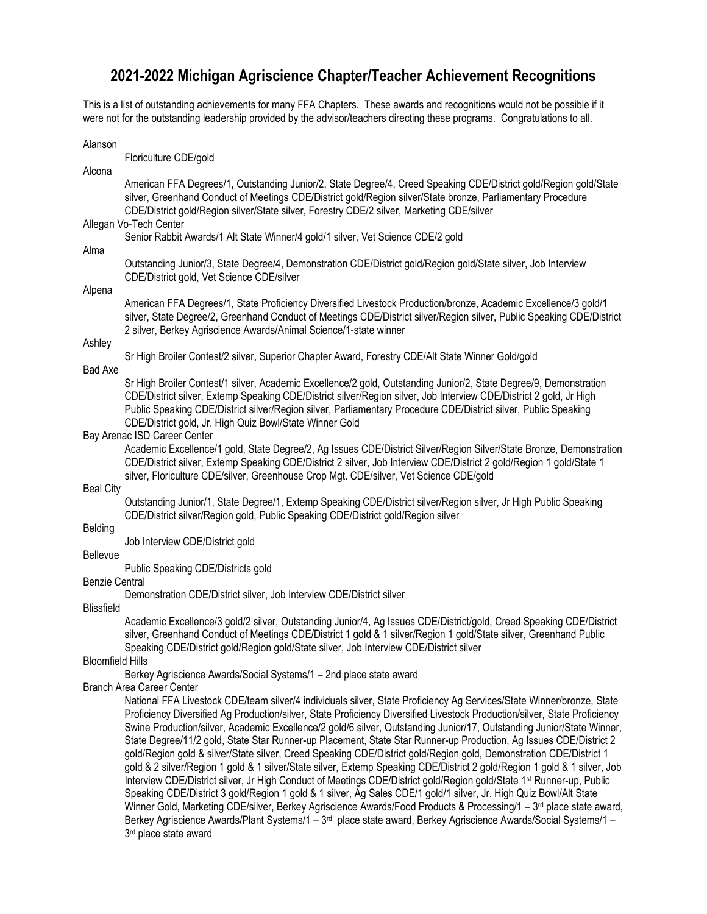# **2021-2022 Michigan Agriscience Chapter/Teacher Achievement Recognitions**

This is a list of outstanding achievements for many FFA Chapters. These awards and recognitions would not be possible if it were not for the outstanding leadership provided by the advisor/teachers directing these programs. Congratulations to all.

Alanson Floriculture CDE/gold Alcona American FFA Degrees/1, Outstanding Junior/2, State Degree/4, Creed Speaking CDE/District gold/Region gold/State silver, Greenhand Conduct of Meetings CDE/District gold/Region silver/State bronze, Parliamentary Procedure CDE/District gold/Region silver/State silver, Forestry CDE/2 silver, Marketing CDE/silver Allegan Vo-Tech Center Senior Rabbit Awards/1 Alt State Winner/4 gold/1 silver, Vet Science CDE/2 gold Alma Outstanding Junior/3, State Degree/4, Demonstration CDE/District gold/Region gold/State silver, Job Interview CDE/District gold, Vet Science CDE/silver Alpena American FFA Degrees/1, State Proficiency Diversified Livestock Production/bronze, Academic Excellence/3 gold/1 silver, State Degree/2, Greenhand Conduct of Meetings CDE/District silver/Region silver, Public Speaking CDE/District 2 silver, Berkey Agriscience Awards/Animal Science/1-state winner Ashley Sr High Broiler Contest/2 silver, Superior Chapter Award, Forestry CDE/Alt State Winner Gold/gold Bad Axe Sr High Broiler Contest/1 silver, Academic Excellence/2 gold, Outstanding Junior/2, State Degree/9, Demonstration CDE/District silver, Extemp Speaking CDE/District silver/Region silver, Job Interview CDE/District 2 gold, Jr High Public Speaking CDE/District silver/Region silver, Parliamentary Procedure CDE/District silver, Public Speaking CDE/District gold, Jr. High Quiz Bowl/State Winner Gold Bay Arenac ISD Career Center Academic Excellence/1 gold, State Degree/2, Ag Issues CDE/District Silver/Region Silver/State Bronze, Demonstration CDE/District silver, Extemp Speaking CDE/District 2 silver, Job Interview CDE/District 2 gold/Region 1 gold/State 1 silver, Floriculture CDE/silver, Greenhouse Crop Mgt. CDE/silver, Vet Science CDE/gold Beal City Outstanding Junior/1, State Degree/1, Extemp Speaking CDE/District silver/Region silver, Jr High Public Speaking CDE/District silver/Region gold, Public Speaking CDE/District gold/Region silver Belding Job Interview CDE/District gold **Bellevue** Public Speaking CDE/Districts gold Benzie Central Demonstration CDE/District silver, Job Interview CDE/District silver Blissfield Academic Excellence/3 gold/2 silver, Outstanding Junior/4, Ag Issues CDE/District/gold, Creed Speaking CDE/District silver, Greenhand Conduct of Meetings CDE/District 1 gold & 1 silver/Region 1 gold/State silver, Greenhand Public Speaking CDE/District gold/Region gold/State silver, Job Interview CDE/District silver Bloomfield Hills Berkey Agriscience Awards/Social Systems/1 – 2nd place state award Branch Area Career Center National FFA Livestock CDE/team silver/4 individuals silver, State Proficiency Ag Services/State Winner/bronze, State Proficiency Diversified Ag Production/silver, State Proficiency Diversified Livestock Production/silver, State Proficiency Swine Production/silver, Academic Excellence/2 gold/6 silver, Outstanding Junior/17, Outstanding Junior/State Winner, State Degree/11/2 gold, State Star Runner-up Placement, State Star Runner-up Production, Ag Issues CDE/District 2 gold/Region gold & silver/State silver, Creed Speaking CDE/District gold/Region gold, Demonstration CDE/District 1 gold & 2 silver/Region 1 gold & 1 silver/State silver, Extemp Speaking CDE/District 2 gold/Region 1 gold & 1 silver, Job Interview CDE/District silver, Jr High Conduct of Meetings CDE/District gold/Region gold/State 1st Runner-up, Public

Speaking CDE/District 3 gold/Region 1 gold & 1 silver, Ag Sales CDE/1 gold/1 silver, Jr. High Quiz Bowl/Alt State Winner Gold, Marketing CDE/silver, Berkey Agriscience Awards/Food Products & Processing/1 – 3<sup>rd</sup> place state award, Berkey Agriscience Awards/Plant Systems/1 – 3<sup>rd</sup> place state award, Berkey Agriscience Awards/Social Systems/1 – 3 rd place state award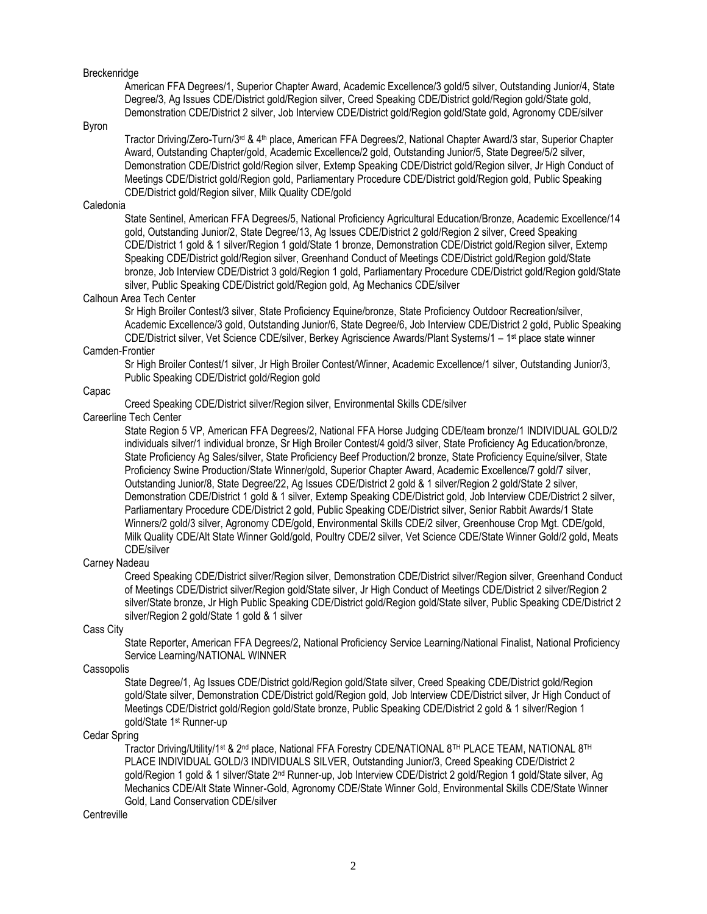### **Breckenridge**

American FFA Degrees/1, Superior Chapter Award, Academic Excellence/3 gold/5 silver, Outstanding Junior/4, State Degree/3, Ag Issues CDE/District gold/Region silver, Creed Speaking CDE/District gold/Region gold/State gold, Demonstration CDE/District 2 silver, Job Interview CDE/District gold/Region gold/State gold, Agronomy CDE/silver

## Byron

Tractor Driving/Zero-Turn/3rd & 4th place, American FFA Degrees/2, National Chapter Award/3 star, Superior Chapter Award, Outstanding Chapter/gold, Academic Excellence/2 gold, Outstanding Junior/5, State Degree/5/2 silver, Demonstration CDE/District gold/Region silver, Extemp Speaking CDE/District gold/Region silver, Jr High Conduct of Meetings CDE/District gold/Region gold, Parliamentary Procedure CDE/District gold/Region gold, Public Speaking CDE/District gold/Region silver, Milk Quality CDE/gold

## Caledonia

State Sentinel, American FFA Degrees/5, National Proficiency Agricultural Education/Bronze, Academic Excellence/14 gold, Outstanding Junior/2, State Degree/13, Ag Issues CDE/District 2 gold/Region 2 silver, Creed Speaking CDE/District 1 gold & 1 silver/Region 1 gold/State 1 bronze, Demonstration CDE/District gold/Region silver, Extemp Speaking CDE/District gold/Region silver, Greenhand Conduct of Meetings CDE/District gold/Region gold/State bronze, Job Interview CDE/District 3 gold/Region 1 gold, Parliamentary Procedure CDE/District gold/Region gold/State silver, Public Speaking CDE/District gold/Region gold, Ag Mechanics CDE/silver

## Calhoun Area Tech Center

Sr High Broiler Contest/3 silver, State Proficiency Equine/bronze, State Proficiency Outdoor Recreation/silver, Academic Excellence/3 gold, Outstanding Junior/6, State Degree/6, Job Interview CDE/District 2 gold, Public Speaking CDE/District silver, Vet Science CDE/silver, Berkey Agriscience Awards/Plant Systems/1 – 1 st place state winner

# Camden-Frontier

Sr High Broiler Contest/1 silver, Jr High Broiler Contest/Winner, Academic Excellence/1 silver, Outstanding Junior/3, Public Speaking CDE/District gold/Region gold

## Capac

Creed Speaking CDE/District silver/Region silver, Environmental Skills CDE/silver

## Careerline Tech Center

State Region 5 VP, American FFA Degrees/2, National FFA Horse Judging CDE/team bronze/1 INDIVIDUAL GOLD/2 individuals silver/1 individual bronze, Sr High Broiler Contest/4 gold/3 silver, State Proficiency Ag Education/bronze, State Proficiency Ag Sales/silver, State Proficiency Beef Production/2 bronze, State Proficiency Equine/silver, State Proficiency Swine Production/State Winner/gold, Superior Chapter Award, Academic Excellence/7 gold/7 silver, Outstanding Junior/8, State Degree/22, Ag Issues CDE/District 2 gold & 1 silver/Region 2 gold/State 2 silver, Demonstration CDE/District 1 gold & 1 silver, Extemp Speaking CDE/District gold, Job Interview CDE/District 2 silver, Parliamentary Procedure CDE/District 2 gold, Public Speaking CDE/District silver, Senior Rabbit Awards/1 State Winners/2 gold/3 silver, Agronomy CDE/gold, Environmental Skills CDE/2 silver, Greenhouse Crop Mgt. CDE/gold, Milk Quality CDE/Alt State Winner Gold/gold, Poultry CDE/2 silver, Vet Science CDE/State Winner Gold/2 gold, Meats CDE/silver

## Carney Nadeau

Creed Speaking CDE/District silver/Region silver, Demonstration CDE/District silver/Region silver, Greenhand Conduct of Meetings CDE/District silver/Region gold/State silver, Jr High Conduct of Meetings CDE/District 2 silver/Region 2 silver/State bronze, Jr High Public Speaking CDE/District gold/Region gold/State silver, Public Speaking CDE/District 2 silver/Region 2 gold/State 1 gold & 1 silver

## Cass City

State Reporter, American FFA Degrees/2, National Proficiency Service Learning/National Finalist, National Proficiency Service Learning/NATIONAL WINNER

### **Cassopolis**

State Degree/1, Ag Issues CDE/District gold/Region gold/State silver, Creed Speaking CDE/District gold/Region gold/State silver, Demonstration CDE/District gold/Region gold, Job Interview CDE/District silver, Jr High Conduct of Meetings CDE/District gold/Region gold/State bronze, Public Speaking CDE/District 2 gold & 1 silver/Region 1 gold/State 1st Runner-up

### Cedar Spring

Tractor Driving/Utility/1st & 2nd place, National FFA Forestry CDE/NATIONAL 8TH PLACE TEAM, NATIONAL 8TH PLACE INDIVIDUAL GOLD/3 INDIVIDUALS SILVER, Outstanding Junior/3, Creed Speaking CDE/District 2 gold/Region 1 gold & 1 silver/State 2<sup>nd</sup> Runner-up, Job Interview CDE/District 2 gold/Region 1 gold/State silver, Ag Mechanics CDE/Alt State Winner-Gold, Agronomy CDE/State Winner Gold, Environmental Skills CDE/State Winner Gold, Land Conservation CDE/silver

## **Centreville**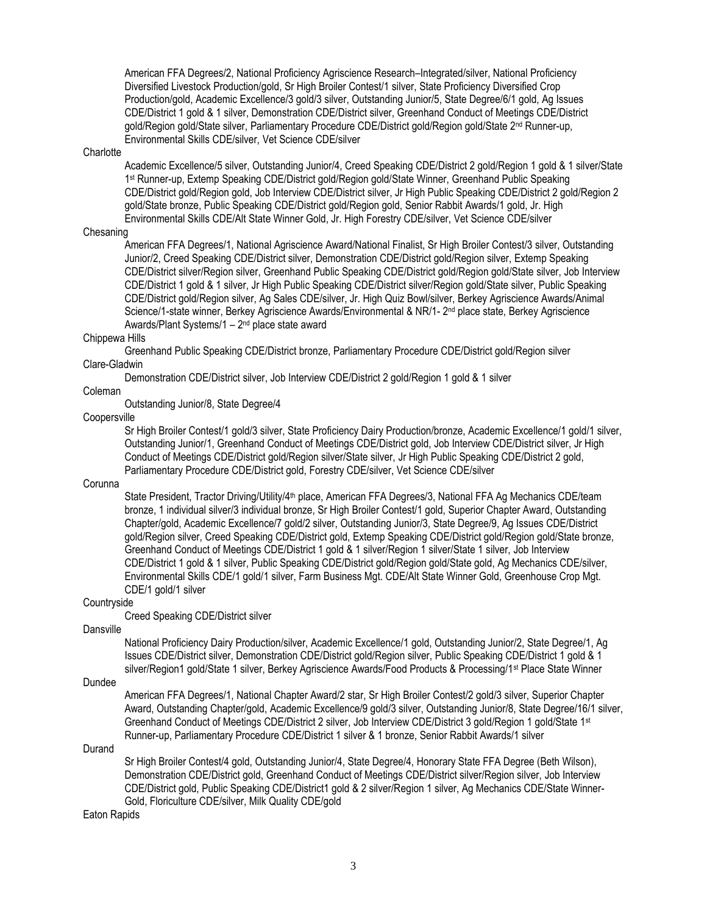American FFA Degrees/2, National Proficiency Agriscience Research–Integrated/silver, National Proficiency Diversified Livestock Production/gold, Sr High Broiler Contest/1 silver, State Proficiency Diversified Crop Production/gold, Academic Excellence/3 gold/3 silver, Outstanding Junior/5, State Degree/6/1 gold, Ag Issues CDE/District 1 gold & 1 silver, Demonstration CDE/District silver, Greenhand Conduct of Meetings CDE/District gold/Region gold/State silver, Parliamentary Procedure CDE/District gold/Region gold/State 2<sup>nd</sup> Runner-up, Environmental Skills CDE/silver, Vet Science CDE/silver

### **Charlotte**

Academic Excellence/5 silver, Outstanding Junior/4, Creed Speaking CDE/District 2 gold/Region 1 gold & 1 silver/State 1 st Runner-up, Extemp Speaking CDE/District gold/Region gold/State Winner, Greenhand Public Speaking CDE/District gold/Region gold, Job Interview CDE/District silver, Jr High Public Speaking CDE/District 2 gold/Region 2 gold/State bronze, Public Speaking CDE/District gold/Region gold, Senior Rabbit Awards/1 gold, Jr. High Environmental Skills CDE/Alt State Winner Gold, Jr. High Forestry CDE/silver, Vet Science CDE/silver

## Chesaning

American FFA Degrees/1, National Agriscience Award/National Finalist, Sr High Broiler Contest/3 silver, Outstanding Junior/2, Creed Speaking CDE/District silver, Demonstration CDE/District gold/Region silver, Extemp Speaking CDE/District silver/Region silver, Greenhand Public Speaking CDE/District gold/Region gold/State silver, Job Interview CDE/District 1 gold & 1 silver, Jr High Public Speaking CDE/District silver/Region gold/State silver, Public Speaking CDE/District gold/Region silver, Ag Sales CDE/silver, Jr. High Quiz Bowl/silver, Berkey Agriscience Awards/Animal Science/1-state winner, Berkey Agriscience Awards/Environmental & NR/1- 2<sup>nd</sup> place state, Berkey Agriscience Awards/Plant Systems/1 – 2<sup>nd</sup> place state award

### Chippewa Hills

Greenhand Public Speaking CDE/District bronze, Parliamentary Procedure CDE/District gold/Region silver Clare-Gladwin

Demonstration CDE/District silver, Job Interview CDE/District 2 gold/Region 1 gold & 1 silver

## Coleman

Outstanding Junior/8, State Degree/4

## **Coopersville**

Sr High Broiler Contest/1 gold/3 silver, State Proficiency Dairy Production/bronze, Academic Excellence/1 gold/1 silver, Outstanding Junior/1, Greenhand Conduct of Meetings CDE/District gold, Job Interview CDE/District silver, Jr High Conduct of Meetings CDE/District gold/Region silver/State silver, Jr High Public Speaking CDE/District 2 gold, Parliamentary Procedure CDE/District gold, Forestry CDE/silver, Vet Science CDE/silver

## Corunna

State President, Tractor Driving/Utility/4<sup>th</sup> place, American FFA Degrees/3, National FFA Ag Mechanics CDE/team bronze, 1 individual silver/3 individual bronze, Sr High Broiler Contest/1 gold, Superior Chapter Award, Outstanding Chapter/gold, Academic Excellence/7 gold/2 silver, Outstanding Junior/3, State Degree/9, Ag Issues CDE/District gold/Region silver, Creed Speaking CDE/District gold, Extemp Speaking CDE/District gold/Region gold/State bronze, Greenhand Conduct of Meetings CDE/District 1 gold & 1 silver/Region 1 silver/State 1 silver, Job Interview CDE/District 1 gold & 1 silver, Public Speaking CDE/District gold/Region gold/State gold, Ag Mechanics CDE/silver, Environmental Skills CDE/1 gold/1 silver, Farm Business Mgt. CDE/Alt State Winner Gold, Greenhouse Crop Mgt. CDE/1 gold/1 silver

### **Countryside**

Creed Speaking CDE/District silver

Dansville

National Proficiency Dairy Production/silver, Academic Excellence/1 gold, Outstanding Junior/2, State Degree/1, Ag Issues CDE/District silver, Demonstration CDE/District gold/Region silver, Public Speaking CDE/District 1 gold & 1 silver/Region1 gold/State 1 silver, Berkey Agriscience Awards/Food Products & Processing/1st Place State Winner

### Dundee

American FFA Degrees/1, National Chapter Award/2 star, Sr High Broiler Contest/2 gold/3 silver, Superior Chapter Award, Outstanding Chapter/gold, Academic Excellence/9 gold/3 silver, Outstanding Junior/8, State Degree/16/1 silver, Greenhand Conduct of Meetings CDE/District 2 silver, Job Interview CDE/District 3 gold/Region 1 gold/State 1st Runner-up, Parliamentary Procedure CDE/District 1 silver & 1 bronze, Senior Rabbit Awards/1 silver

## Durand

Sr High Broiler Contest/4 gold, Outstanding Junior/4, State Degree/4, Honorary State FFA Degree (Beth Wilson), Demonstration CDE/District gold, Greenhand Conduct of Meetings CDE/District silver/Region silver, Job Interview CDE/District gold, Public Speaking CDE/District1 gold & 2 silver/Region 1 silver, Ag Mechanics CDE/State Winner-Gold, Floriculture CDE/silver, Milk Quality CDE/gold

Eaton Rapids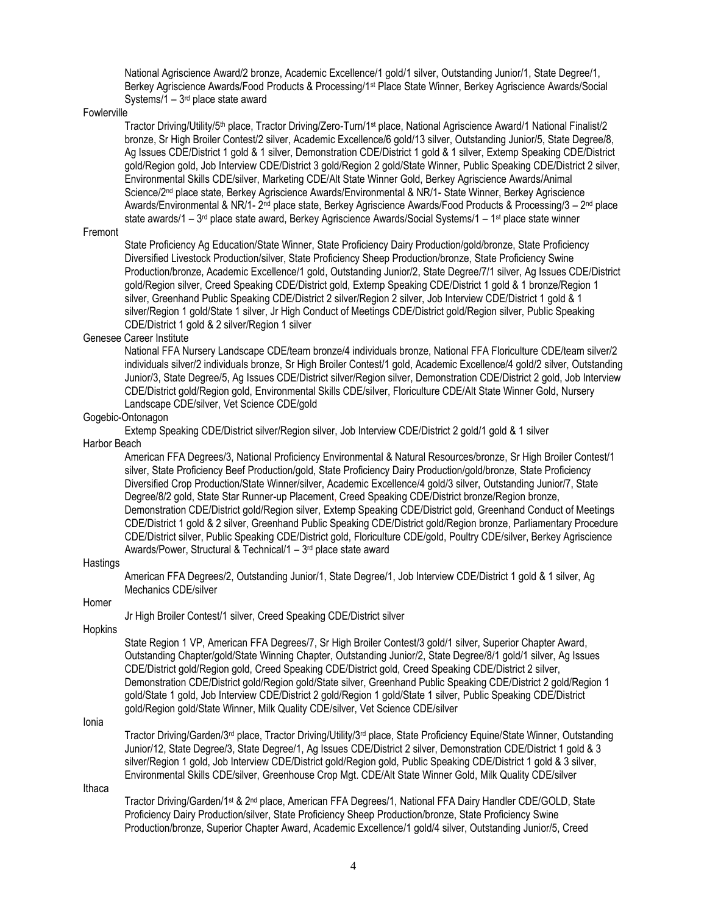National Agriscience Award/2 bronze, Academic Excellence/1 gold/1 silver, Outstanding Junior/1, State Degree/1, Berkey Agriscience Awards/Food Products & Processing/1st Place State Winner, Berkey Agriscience Awards/Social Systems/1 – 3<sup>rd</sup> place state award

### Fowlerville

Tractor Driving/Utility/5th place, Tractor Driving/Zero-Turn/1st place, National Agriscience Award/1 National Finalist/2 bronze, Sr High Broiler Contest/2 silver, Academic Excellence/6 gold/13 silver, Outstanding Junior/5, State Degree/8, Ag Issues CDE/District 1 gold & 1 silver, Demonstration CDE/District 1 gold & 1 silver, Extemp Speaking CDE/District gold/Region gold, Job Interview CDE/District 3 gold/Region 2 gold/State Winner, Public Speaking CDE/District 2 silver, Environmental Skills CDE/silver, Marketing CDE/Alt State Winner Gold, Berkey Agriscience Awards/Animal Science/2nd place state, Berkey Agriscience Awards/Environmental & NR/1- State Winner, Berkey Agriscience Awards/Environmental & NR/1- 2<sup>nd</sup> place state, Berkey Agriscience Awards/Food Products & Processing/3 – 2<sup>nd</sup> place state awards/1 – 3<sup>rd</sup> place state award, Berkey Agriscience Awards/Social Systems/1 – 1st place state winner

### Fremont

State Proficiency Ag Education/State Winner, State Proficiency Dairy Production/gold/bronze, State Proficiency Diversified Livestock Production/silver, State Proficiency Sheep Production/bronze, State Proficiency Swine Production/bronze, Academic Excellence/1 gold, Outstanding Junior/2, State Degree/7/1 silver, Ag Issues CDE/District gold/Region silver, Creed Speaking CDE/District gold, Extemp Speaking CDE/District 1 gold & 1 bronze/Region 1 silver, Greenhand Public Speaking CDE/District 2 silver/Region 2 silver, Job Interview CDE/District 1 gold & 1 silver/Region 1 gold/State 1 silver, Jr High Conduct of Meetings CDE/District gold/Region silver, Public Speaking CDE/District 1 gold & 2 silver/Region 1 silver

### Genesee Career Institute

National FFA Nursery Landscape CDE/team bronze/4 individuals bronze, National FFA Floriculture CDE/team silver/2 individuals silver/2 individuals bronze, Sr High Broiler Contest/1 gold, Academic Excellence/4 gold/2 silver, Outstanding Junior/3, State Degree/5, Ag Issues CDE/District silver/Region silver, Demonstration CDE/District 2 gold, Job Interview CDE/District gold/Region gold, Environmental Skills CDE/silver, Floriculture CDE/Alt State Winner Gold, Nursery Landscape CDE/silver, Vet Science CDE/gold

## Gogebic-Ontonagon

Extemp Speaking CDE/District silver/Region silver, Job Interview CDE/District 2 gold/1 gold & 1 silver

Harbor Beach

American FFA Degrees/3, National Proficiency Environmental & Natural Resources/bronze, Sr High Broiler Contest/1 silver, State Proficiency Beef Production/gold, State Proficiency Dairy Production/gold/bronze, State Proficiency Diversified Crop Production/State Winner/silver, Academic Excellence/4 gold/3 silver, Outstanding Junior/7, State Degree/8/2 gold, State Star Runner-up Placement, Creed Speaking CDE/District bronze/Region bronze, Demonstration CDE/District gold/Region silver, Extemp Speaking CDE/District gold, Greenhand Conduct of Meetings CDE/District 1 gold & 2 silver, Greenhand Public Speaking CDE/District gold/Region bronze, Parliamentary Procedure CDE/District silver, Public Speaking CDE/District gold, Floriculture CDE/gold, Poultry CDE/silver, Berkey Agriscience Awards/Power, Structural & Technical/1 – 3<sup>rd</sup> place state award

### **Hastings**

American FFA Degrees/2, Outstanding Junior/1, State Degree/1, Job Interview CDE/District 1 gold & 1 silver, Ag Mechanics CDE/silver

## Homer

Jr High Broiler Contest/1 silver, Creed Speaking CDE/District silver

Hopkins

State Region 1 VP, American FFA Degrees/7, Sr High Broiler Contest/3 gold/1 silver, Superior Chapter Award, Outstanding Chapter/gold/State Winning Chapter, Outstanding Junior/2, State Degree/8/1 gold/1 silver, Ag Issues CDE/District gold/Region gold, Creed Speaking CDE/District gold, Creed Speaking CDE/District 2 silver, Demonstration CDE/District gold/Region gold/State silver, Greenhand Public Speaking CDE/District 2 gold/Region 1 gold/State 1 gold, Job Interview CDE/District 2 gold/Region 1 gold/State 1 silver, Public Speaking CDE/District gold/Region gold/State Winner, Milk Quality CDE/silver, Vet Science CDE/silver

Ionia

Tractor Driving/Garden/3<sup>rd</sup> place, Tractor Driving/Utility/3<sup>rd</sup> place, State Proficiency Equine/State Winner, Outstanding Junior/12, State Degree/3, State Degree/1, Ag Issues CDE/District 2 silver, Demonstration CDE/District 1 gold & 3 silver/Region 1 gold, Job Interview CDE/District gold/Region gold, Public Speaking CDE/District 1 gold & 3 silver, Environmental Skills CDE/silver, Greenhouse Crop Mgt. CDE/Alt State Winner Gold, Milk Quality CDE/silver

Ithaca

Tractor Driving/Garden/1<sup>st</sup> & 2<sup>nd</sup> place, American FFA Degrees/1, National FFA Dairy Handler CDE/GOLD, State Proficiency Dairy Production/silver, State Proficiency Sheep Production/bronze, State Proficiency Swine Production/bronze, Superior Chapter Award, Academic Excellence/1 gold/4 silver, Outstanding Junior/5, Creed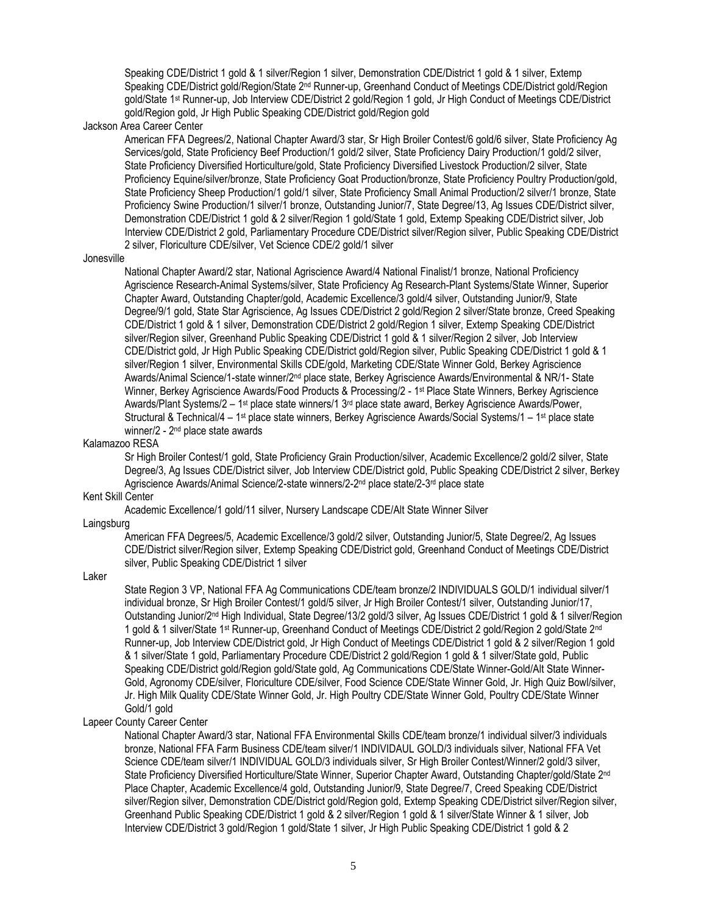Speaking CDE/District 1 gold & 1 silver/Region 1 silver, Demonstration CDE/District 1 gold & 1 silver, Extemp Speaking CDE/District gold/Region/State 2<sup>nd</sup> Runner-up, Greenhand Conduct of Meetings CDE/District gold/Region gold/State 1st Runner-up, Job Interview CDE/District 2 gold/Region 1 gold, Jr High Conduct of Meetings CDE/District gold/Region gold, Jr High Public Speaking CDE/District gold/Region gold

### Jackson Area Career Center

American FFA Degrees/2, National Chapter Award/3 star, Sr High Broiler Contest/6 gold/6 silver, State Proficiency Ag Services/gold, State Proficiency Beef Production/1 gold/2 silver, State Proficiency Dairy Production/1 gold/2 silver, State Proficiency Diversified Horticulture/gold, State Proficiency Diversified Livestock Production/2 silver, State Proficiency Equine/silver/bronze, State Proficiency Goat Production/bronze, State Proficiency Poultry Production/gold, State Proficiency Sheep Production/1 gold/1 silver, State Proficiency Small Animal Production/2 silver/1 bronze, State Proficiency Swine Production/1 silver/1 bronze, Outstanding Junior/7, State Degree/13, Ag Issues CDE/District silver, Demonstration CDE/District 1 gold & 2 silver/Region 1 gold/State 1 gold, Extemp Speaking CDE/District silver, Job Interview CDE/District 2 gold, Parliamentary Procedure CDE/District silver/Region silver, Public Speaking CDE/District 2 silver, Floriculture CDE/silver, Vet Science CDE/2 gold/1 silver

#### Jonesville

National Chapter Award/2 star, National Agriscience Award/4 National Finalist/1 bronze, National Proficiency Agriscience Research-Animal Systems/silver, State Proficiency Ag Research-Plant Systems/State Winner, Superior Chapter Award, Outstanding Chapter/gold, Academic Excellence/3 gold/4 silver, Outstanding Junior/9, State Degree/9/1 gold, State Star Agriscience, Ag Issues CDE/District 2 gold/Region 2 silver/State bronze, Creed Speaking CDE/District 1 gold & 1 silver, Demonstration CDE/District 2 gold/Region 1 silver, Extemp Speaking CDE/District silver/Region silver, Greenhand Public Speaking CDE/District 1 gold & 1 silver/Region 2 silver, Job Interview CDE/District gold, Jr High Public Speaking CDE/District gold/Region silver, Public Speaking CDE/District 1 gold & 1 silver/Region 1 silver, Environmental Skills CDE/gold, Marketing CDE/State Winner Gold, Berkey Agriscience Awards/Animal Science/1-state winner/2nd place state, Berkey Agriscience Awards/Environmental & NR/1- State Winner, Berkey Agriscience Awards/Food Products & Processing/2 - 1 st Place State Winners, Berkey Agriscience Awards/Plant Systems/2 – 1st place state winners/1 3<sup>rd</sup> place state award, Berkey Agriscience Awards/Power, Structural & Technical/4 – 1<sup>st</sup> place state winners, Berkey Agriscience Awards/Social Systems/1 – 1<sup>st</sup> place state winner/2 - 2<sup>nd</sup> place state awards

### Kalamazoo RESA

Sr High Broiler Contest/1 gold, State Proficiency Grain Production/silver, Academic Excellence/2 gold/2 silver, State Degree/3, Ag Issues CDE/District silver, Job Interview CDE/District gold, Public Speaking CDE/District 2 silver, Berkey Agriscience Awards/Animal Science/2-state winners/2-2<sup>nd</sup> place state/2-3<sup>rd</sup> place state

## Kent Skill Center

Academic Excellence/1 gold/11 silver, Nursery Landscape CDE/Alt State Winner Silver

## Laingsburg

American FFA Degrees/5, Academic Excellence/3 gold/2 silver, Outstanding Junior/5, State Degree/2, Ag Issues CDE/District silver/Region silver, Extemp Speaking CDE/District gold, Greenhand Conduct of Meetings CDE/District silver, Public Speaking CDE/District 1 silver

Laker

State Region 3 VP, National FFA Ag Communications CDE/team bronze/2 INDIVIDUALS GOLD/1 individual silver/1 individual bronze, Sr High Broiler Contest/1 gold/5 silver, Jr High Broiler Contest/1 silver, Outstanding Junior/17, Outstanding Junior/2nd High Individual, State Degree/13/2 gold/3 silver, Ag Issues CDE/District 1 gold & 1 silver/Region 1 gold & 1 silver/State 1<sup>st</sup> Runner-up, Greenhand Conduct of Meetings CDE/District 2 gold/Region 2 gold/State 2<sup>nd</sup> Runner-up, Job Interview CDE/District gold, Jr High Conduct of Meetings CDE/District 1 gold & 2 silver/Region 1 gold & 1 silver/State 1 gold, Parliamentary Procedure CDE/District 2 gold/Region 1 gold & 1 silver/State gold, Public Speaking CDE/District gold/Region gold/State gold, Ag Communications CDE/State Winner-Gold/Alt State Winner-Gold, Agronomy CDE/silver, Floriculture CDE/silver, Food Science CDE/State Winner Gold, Jr. High Quiz Bowl/silver, Jr. High Milk Quality CDE/State Winner Gold, Jr. High Poultry CDE/State Winner Gold, Poultry CDE/State Winner Gold/1 gold

### Lapeer County Career Center

National Chapter Award/3 star, National FFA Environmental Skills CDE/team bronze/1 individual silver/3 individuals bronze, National FFA Farm Business CDE/team silver/1 INDIVIDAUL GOLD/3 individuals silver, National FFA Vet Science CDE/team silver/1 INDIVIDUAL GOLD/3 individuals silver, Sr High Broiler Contest/Winner/2 gold/3 silver, State Proficiency Diversified Horticulture/State Winner, Superior Chapter Award, Outstanding Chapter/gold/State 2<sup>nd</sup> Place Chapter, Academic Excellence/4 gold, Outstanding Junior/9, State Degree/7, Creed Speaking CDE/District silver/Region silver, Demonstration CDE/District gold/Region gold, Extemp Speaking CDE/District silver/Region silver, Greenhand Public Speaking CDE/District 1 gold & 2 silver/Region 1 gold & 1 silver/State Winner & 1 silver, Job Interview CDE/District 3 gold/Region 1 gold/State 1 silver, Jr High Public Speaking CDE/District 1 gold & 2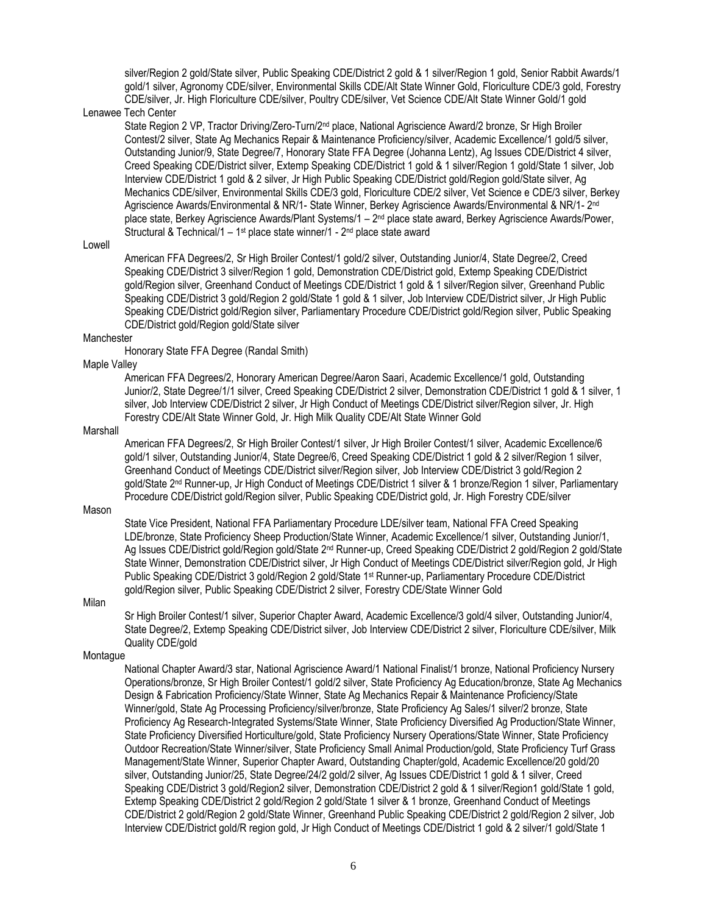silver/Region 2 gold/State silver, Public Speaking CDE/District 2 gold & 1 silver/Region 1 gold, Senior Rabbit Awards/1 gold/1 silver, Agronomy CDE/silver, Environmental Skills CDE/Alt State Winner Gold, Floriculture CDE/3 gold, Forestry CDE/silver, Jr. High Floriculture CDE/silver, Poultry CDE/silver, Vet Science CDE/Alt State Winner Gold/1 gold

## Lenawee Tech Center

State Region 2 VP, Tractor Driving/Zero-Turn/2<sup>nd</sup> place, National Agriscience Award/2 bronze, Sr High Broiler Contest/2 silver, State Ag Mechanics Repair & Maintenance Proficiency/silver, Academic Excellence/1 gold/5 silver, Outstanding Junior/9, State Degree/7, Honorary State FFA Degree (Johanna Lentz), Ag Issues CDE/District 4 silver, Creed Speaking CDE/District silver, Extemp Speaking CDE/District 1 gold & 1 silver/Region 1 gold/State 1 silver, Job Interview CDE/District 1 gold & 2 silver, Jr High Public Speaking CDE/District gold/Region gold/State silver, Ag Mechanics CDE/silver, Environmental Skills CDE/3 gold, Floriculture CDE/2 silver, Vet Science e CDE/3 silver, Berkey Agriscience Awards/Environmental & NR/1- State Winner, Berkey Agriscience Awards/Environmental & NR/1- 2<sup>nd</sup> place state, Berkey Agriscience Awards/Plant Systems/1 – 2<sup>nd</sup> place state award, Berkey Agriscience Awards/Power, Structural & Technical/1 – 1<sup>st</sup> place state winner/1 - 2<sup>nd</sup> place state award

### Lowell

American FFA Degrees/2, Sr High Broiler Contest/1 gold/2 silver, Outstanding Junior/4, State Degree/2, Creed Speaking CDE/District 3 silver/Region 1 gold, Demonstration CDE/District gold, Extemp Speaking CDE/District gold/Region silver, Greenhand Conduct of Meetings CDE/District 1 gold & 1 silver/Region silver, Greenhand Public Speaking CDE/District 3 gold/Region 2 gold/State 1 gold & 1 silver, Job Interview CDE/District silver, Jr High Public Speaking CDE/District gold/Region silver, Parliamentary Procedure CDE/District gold/Region silver, Public Speaking CDE/District gold/Region gold/State silver

### Manchester

Honorary State FFA Degree (Randal Smith)

## Maple Valley

American FFA Degrees/2, Honorary American Degree/Aaron Saari, Academic Excellence/1 gold, Outstanding Junior/2, State Degree/1/1 silver, Creed Speaking CDE/District 2 silver, Demonstration CDE/District 1 gold & 1 silver, 1 silver, Job Interview CDE/District 2 silver, Jr High Conduct of Meetings CDE/District silver/Region silver, Jr. High Forestry CDE/Alt State Winner Gold, Jr. High Milk Quality CDE/Alt State Winner Gold

### **Marshall**

American FFA Degrees/2, Sr High Broiler Contest/1 silver, Jr High Broiler Contest/1 silver, Academic Excellence/6 gold/1 silver, Outstanding Junior/4, State Degree/6, Creed Speaking CDE/District 1 gold & 2 silver/Region 1 silver, Greenhand Conduct of Meetings CDE/District silver/Region silver, Job Interview CDE/District 3 gold/Region 2 gold/State 2nd Runner-up, Jr High Conduct of Meetings CDE/District 1 silver & 1 bronze/Region 1 silver, Parliamentary Procedure CDE/District gold/Region silver, Public Speaking CDE/District gold, Jr. High Forestry CDE/silver

### Mason

State Vice President, National FFA Parliamentary Procedure LDE/silver team, National FFA Creed Speaking LDE/bronze, State Proficiency Sheep Production/State Winner, Academic Excellence/1 silver, Outstanding Junior/1, Ag Issues CDE/District gold/Region gold/State 2nd Runner-up, Creed Speaking CDE/District 2 gold/Region 2 gold/State State Winner, Demonstration CDE/District silver, Jr High Conduct of Meetings CDE/District silver/Region gold, Jr High Public Speaking CDE/District 3 gold/Region 2 gold/State 1st Runner-up, Parliamentary Procedure CDE/District gold/Region silver, Public Speaking CDE/District 2 silver, Forestry CDE/State Winner Gold

## Milan

Sr High Broiler Contest/1 silver, Superior Chapter Award, Academic Excellence/3 gold/4 silver, Outstanding Junior/4, State Degree/2, Extemp Speaking CDE/District silver, Job Interview CDE/District 2 silver, Floriculture CDE/silver, Milk Quality CDE/gold

#### **Montague**

National Chapter Award/3 star, National Agriscience Award/1 National Finalist/1 bronze, National Proficiency Nursery Operations/bronze, Sr High Broiler Contest/1 gold/2 silver, State Proficiency Ag Education/bronze, State Ag Mechanics Design & Fabrication Proficiency/State Winner, State Ag Mechanics Repair & Maintenance Proficiency/State Winner/gold, State Ag Processing Proficiency/silver/bronze, State Proficiency Ag Sales/1 silver/2 bronze, State Proficiency Ag Research-Integrated Systems/State Winner, State Proficiency Diversified Ag Production/State Winner, State Proficiency Diversified Horticulture/gold, State Proficiency Nursery Operations/State Winner, State Proficiency Outdoor Recreation/State Winner/silver, State Proficiency Small Animal Production/gold, State Proficiency Turf Grass Management/State Winner, Superior Chapter Award, Outstanding Chapter/gold, Academic Excellence/20 gold/20 silver, Outstanding Junior/25, State Degree/24/2 gold/2 silver, Ag Issues CDE/District 1 gold & 1 silver, Creed Speaking CDE/District 3 gold/Region2 silver, Demonstration CDE/District 2 gold & 1 silver/Region1 gold/State 1 gold, Extemp Speaking CDE/District 2 gold/Region 2 gold/State 1 silver & 1 bronze, Greenhand Conduct of Meetings CDE/District 2 gold/Region 2 gold/State Winner, Greenhand Public Speaking CDE/District 2 gold/Region 2 silver, Job Interview CDE/District gold/R region gold, Jr High Conduct of Meetings CDE/District 1 gold & 2 silver/1 gold/State 1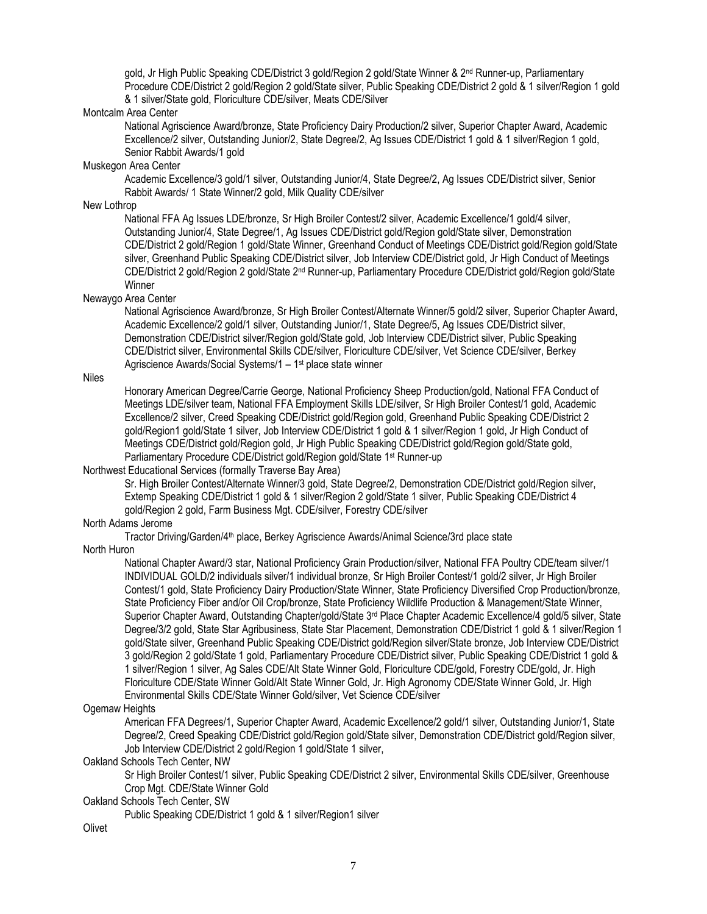gold, Jr High Public Speaking CDE/District 3 gold/Region 2 gold/State Winner & 2nd Runner-up, Parliamentary Procedure CDE/District 2 gold/Region 2 gold/State silver, Public Speaking CDE/District 2 gold & 1 silver/Region 1 gold & 1 silver/State gold, Floriculture CDE/silver, Meats CDE/Silver

## Montcalm Area Center

National Agriscience Award/bronze, State Proficiency Dairy Production/2 silver, Superior Chapter Award, Academic Excellence/2 silver, Outstanding Junior/2, State Degree/2, Ag Issues CDE/District 1 gold & 1 silver/Region 1 gold, Senior Rabbit Awards/1 gold

## Muskegon Area Center

Academic Excellence/3 gold/1 silver, Outstanding Junior/4, State Degree/2, Ag Issues CDE/District silver, Senior Rabbit Awards/ 1 State Winner/2 gold, Milk Quality CDE/silver

## New Lothrop

National FFA Ag Issues LDE/bronze, Sr High Broiler Contest/2 silver, Academic Excellence/1 gold/4 silver, Outstanding Junior/4, State Degree/1, Ag Issues CDE/District gold/Region gold/State silver, Demonstration CDE/District 2 gold/Region 1 gold/State Winner, Greenhand Conduct of Meetings CDE/District gold/Region gold/State silver, Greenhand Public Speaking CDE/District silver, Job Interview CDE/District gold, Jr High Conduct of Meetings CDE/District 2 gold/Region 2 gold/State 2nd Runner-up, Parliamentary Procedure CDE/District gold/Region gold/State Winner

## Newaygo Area Center

National Agriscience Award/bronze, Sr High Broiler Contest/Alternate Winner/5 gold/2 silver, Superior Chapter Award, Academic Excellence/2 gold/1 silver, Outstanding Junior/1, State Degree/5, Ag Issues CDE/District silver, Demonstration CDE/District silver/Region gold/State gold, Job Interview CDE/District silver, Public Speaking CDE/District silver, Environmental Skills CDE/silver, Floriculture CDE/silver, Vet Science CDE/silver, Berkey Agriscience Awards/Social Systems/1 – 1 st place state winner

## Niles

Honorary American Degree/Carrie George, National Proficiency Sheep Production/gold, National FFA Conduct of Meetings LDE/silver team, National FFA Employment Skills LDE/silver, Sr High Broiler Contest/1 gold, Academic Excellence/2 silver, Creed Speaking CDE/District gold/Region gold, Greenhand Public Speaking CDE/District 2 gold/Region1 gold/State 1 silver, Job Interview CDE/District 1 gold & 1 silver/Region 1 gold, Jr High Conduct of Meetings CDE/District gold/Region gold, Jr High Public Speaking CDE/District gold/Region gold/State gold, Parliamentary Procedure CDE/District gold/Region gold/State 1<sup>st</sup> Runner-up

## Northwest Educational Services (formally Traverse Bay Area)

Sr. High Broiler Contest/Alternate Winner/3 gold, State Degree/2, Demonstration CDE/District gold/Region silver, Extemp Speaking CDE/District 1 gold & 1 silver/Region 2 gold/State 1 silver, Public Speaking CDE/District 4 gold/Region 2 gold, Farm Business Mgt. CDE/silver, Forestry CDE/silver

## North Adams Jerome

Tractor Driving/Garden/4<sup>th</sup> place, Berkey Agriscience Awards/Animal Science/3rd place state

# North Huron

National Chapter Award/3 star, National Proficiency Grain Production/silver, National FFA Poultry CDE/team silver/1 INDIVIDUAL GOLD/2 individuals silver/1 individual bronze, Sr High Broiler Contest/1 gold/2 silver, Jr High Broiler Contest/1 gold, State Proficiency Dairy Production/State Winner, State Proficiency Diversified Crop Production/bronze, State Proficiency Fiber and/or Oil Crop/bronze, State Proficiency Wildlife Production & Management/State Winner, Superior Chapter Award, Outstanding Chapter/gold/State 3<sup>rd</sup> Place Chapter Academic Excellence/4 gold/5 silver, State Degree/3/2 gold, State Star Agribusiness, State Star Placement, Demonstration CDE/District 1 gold & 1 silver/Region 1 gold/State silver, Greenhand Public Speaking CDE/District gold/Region silver/State bronze, Job Interview CDE/District 3 gold/Region 2 gold/State 1 gold, Parliamentary Procedure CDE/District silver, Public Speaking CDE/District 1 gold & 1 silver/Region 1 silver, Ag Sales CDE/Alt State Winner Gold, Floriculture CDE/gold, Forestry CDE/gold, Jr. High Floriculture CDE/State Winner Gold/Alt State Winner Gold, Jr. High Agronomy CDE/State Winner Gold, Jr. High Environmental Skills CDE/State Winner Gold/silver, Vet Science CDE/silver

## Ogemaw Heights

American FFA Degrees/1, Superior Chapter Award, Academic Excellence/2 gold/1 silver, Outstanding Junior/1, State Degree/2, Creed Speaking CDE/District gold/Region gold/State silver, Demonstration CDE/District gold/Region silver, Job Interview CDE/District 2 gold/Region 1 gold/State 1 silver,

## Oakland Schools Tech Center, NW

Sr High Broiler Contest/1 silver, Public Speaking CDE/District 2 silver, Environmental Skills CDE/silver, Greenhouse Crop Mgt. CDE/State Winner Gold

## Oakland Schools Tech Center, SW

Public Speaking CDE/District 1 gold & 1 silver/Region1 silver

**Olivet**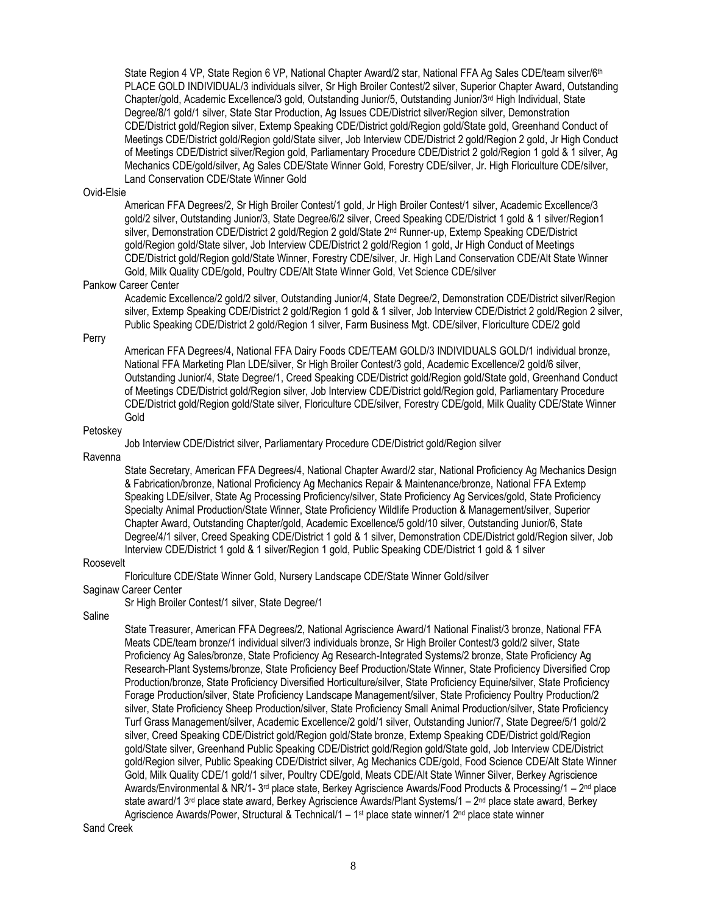State Region 4 VP, State Region 6 VP, National Chapter Award/2 star, National FFA Ag Sales CDE/team silver/6<sup>th</sup> PLACE GOLD INDIVIDUAL/3 individuals silver, Sr High Broiler Contest/2 silver, Superior Chapter Award, Outstanding Chapter/gold, Academic Excellence/3 gold, Outstanding Junior/5, Outstanding Junior/3rd High Individual, State Degree/8/1 gold/1 silver, State Star Production, Ag Issues CDE/District silver/Region silver, Demonstration CDE/District gold/Region silver, Extemp Speaking CDE/District gold/Region gold/State gold, Greenhand Conduct of Meetings CDE/District gold/Region gold/State silver, Job Interview CDE/District 2 gold/Region 2 gold, Jr High Conduct of Meetings CDE/District silver/Region gold, Parliamentary Procedure CDE/District 2 gold/Region 1 gold & 1 silver, Ag Mechanics CDE/gold/silver, Ag Sales CDE/State Winner Gold, Forestry CDE/silver, Jr. High Floriculture CDE/silver, Land Conservation CDE/State Winner Gold

### Ovid-Elsie

American FFA Degrees/2, Sr High Broiler Contest/1 gold, Jr High Broiler Contest/1 silver, Academic Excellence/3 gold/2 silver, Outstanding Junior/3, State Degree/6/2 silver, Creed Speaking CDE/District 1 gold & 1 silver/Region1 silver, Demonstration CDE/District 2 gold/Region 2 gold/State 2<sup>nd</sup> Runner-up, Extemp Speaking CDE/District gold/Region gold/State silver, Job Interview CDE/District 2 gold/Region 1 gold, Jr High Conduct of Meetings CDE/District gold/Region gold/State Winner, Forestry CDE/silver, Jr. High Land Conservation CDE/Alt State Winner Gold, Milk Quality CDE/gold, Poultry CDE/Alt State Winner Gold, Vet Science CDE/silver

## Pankow Career Center

Academic Excellence/2 gold/2 silver, Outstanding Junior/4, State Degree/2, Demonstration CDE/District silver/Region silver, Extemp Speaking CDE/District 2 gold/Region 1 gold & 1 silver, Job Interview CDE/District 2 gold/Region 2 silver, Public Speaking CDE/District 2 gold/Region 1 silver, Farm Business Mgt. CDE/silver, Floriculture CDE/2 gold

Perry

American FFA Degrees/4, National FFA Dairy Foods CDE/TEAM GOLD/3 INDIVIDUALS GOLD/1 individual bronze, National FFA Marketing Plan LDE/silver, Sr High Broiler Contest/3 gold, Academic Excellence/2 gold/6 silver, Outstanding Junior/4, State Degree/1, Creed Speaking CDE/District gold/Region gold/State gold, Greenhand Conduct of Meetings CDE/District gold/Region silver, Job Interview CDE/District gold/Region gold, Parliamentary Procedure CDE/District gold/Region gold/State silver, Floriculture CDE/silver, Forestry CDE/gold, Milk Quality CDE/State Winner Gold

### Petoskey

Job Interview CDE/District silver, Parliamentary Procedure CDE/District gold/Region silver

Ravenna

State Secretary, American FFA Degrees/4, National Chapter Award/2 star, National Proficiency Ag Mechanics Design & Fabrication/bronze, National Proficiency Ag Mechanics Repair & Maintenance/bronze, National FFA Extemp Speaking LDE/silver, State Ag Processing Proficiency/silver, State Proficiency Ag Services/gold, State Proficiency Specialty Animal Production/State Winner, State Proficiency Wildlife Production & Management/silver, Superior Chapter Award, Outstanding Chapter/gold, Academic Excellence/5 gold/10 silver, Outstanding Junior/6, State Degree/4/1 silver, Creed Speaking CDE/District 1 gold & 1 silver, Demonstration CDE/District gold/Region silver, Job Interview CDE/District 1 gold & 1 silver/Region 1 gold, Public Speaking CDE/District 1 gold & 1 silver

## Roosevelt

Floriculture CDE/State Winner Gold, Nursery Landscape CDE/State Winner Gold/silver

Saginaw Career Center

Sr High Broiler Contest/1 silver, State Degree/1

Saline

State Treasurer, American FFA Degrees/2, National Agriscience Award/1 National Finalist/3 bronze, National FFA Meats CDE/team bronze/1 individual silver/3 individuals bronze, Sr High Broiler Contest/3 gold/2 silver, State Proficiency Ag Sales/bronze, State Proficiency Ag Research-Integrated Systems/2 bronze, State Proficiency Ag Research-Plant Systems/bronze, State Proficiency Beef Production/State Winner, State Proficiency Diversified Crop Production/bronze, State Proficiency Diversified Horticulture/silver, State Proficiency Equine/silver, State Proficiency Forage Production/silver, State Proficiency Landscape Management/silver, State Proficiency Poultry Production/2 silver, State Proficiency Sheep Production/silver, State Proficiency Small Animal Production/silver, State Proficiency Turf Grass Management/silver, Academic Excellence/2 gold/1 silver, Outstanding Junior/7, State Degree/5/1 gold/2 silver, Creed Speaking CDE/District gold/Region gold/State bronze, Extemp Speaking CDE/District gold/Region gold/State silver, Greenhand Public Speaking CDE/District gold/Region gold/State gold, Job Interview CDE/District gold/Region silver, Public Speaking CDE/District silver, Ag Mechanics CDE/gold, Food Science CDE/Alt State Winner Gold, Milk Quality CDE/1 gold/1 silver, Poultry CDE/gold, Meats CDE/Alt State Winner Silver, Berkey Agriscience Awards/Environmental & NR/1- 3<sup>rd</sup> place state, Berkey Agriscience Awards/Food Products & Processing/1 – 2<sup>nd</sup> place state award/1 3<sup>rd</sup> place state award, Berkey Agriscience Awards/Plant Systems/1 – 2<sup>nd</sup> place state award, Berkey Agriscience Awards/Power, Structural & Technical/1 – 1st place state winner/1 2<sup>nd</sup> place state winner

Sand Creek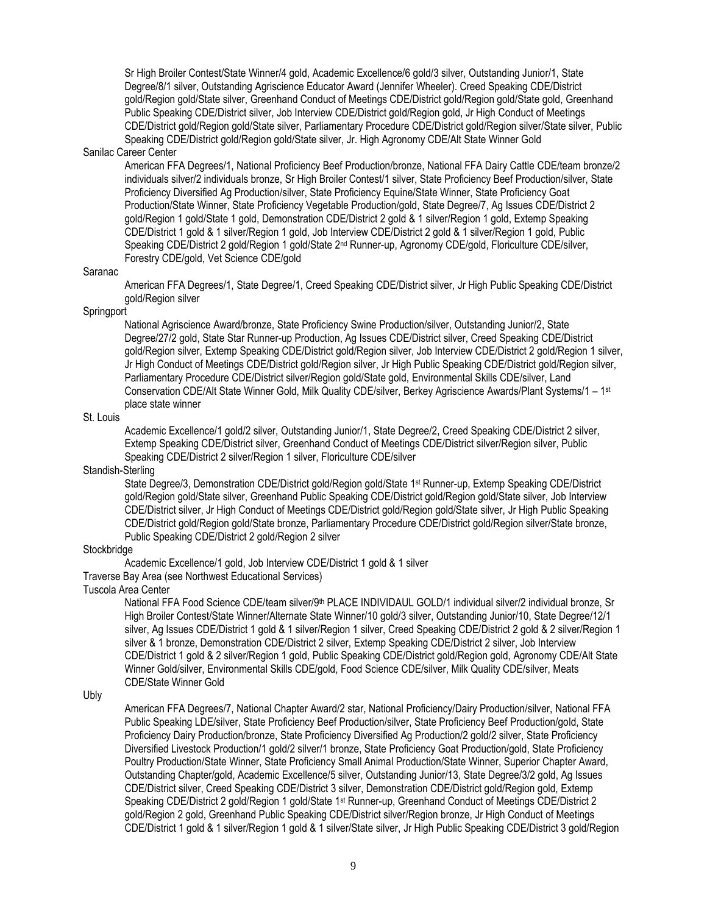Sr High Broiler Contest/State Winner/4 gold, Academic Excellence/6 gold/3 silver, Outstanding Junior/1, State Degree/8/1 silver, Outstanding Agriscience Educator Award (Jennifer Wheeler). Creed Speaking CDE/District gold/Region gold/State silver, Greenhand Conduct of Meetings CDE/District gold/Region gold/State gold, Greenhand Public Speaking CDE/District silver, Job Interview CDE/District gold/Region gold, Jr High Conduct of Meetings CDE/District gold/Region gold/State silver, Parliamentary Procedure CDE/District gold/Region silver/State silver, Public Speaking CDE/District gold/Region gold/State silver, Jr. High Agronomy CDE/Alt State Winner Gold

## Sanilac Career Center

American FFA Degrees/1, National Proficiency Beef Production/bronze, National FFA Dairy Cattle CDE/team bronze/2 individuals silver/2 individuals bronze, Sr High Broiler Contest/1 silver, State Proficiency Beef Production/silver, State Proficiency Diversified Ag Production/silver, State Proficiency Equine/State Winner, State Proficiency Goat Production/State Winner, State Proficiency Vegetable Production/gold, State Degree/7, Ag Issues CDE/District 2 gold/Region 1 gold/State 1 gold, Demonstration CDE/District 2 gold & 1 silver/Region 1 gold, Extemp Speaking CDE/District 1 gold & 1 silver/Region 1 gold, Job Interview CDE/District 2 gold & 1 silver/Region 1 gold, Public Speaking CDE/District 2 gold/Region 1 gold/State 2nd Runner-up, Agronomy CDE/gold, Floriculture CDE/silver, Forestry CDE/gold, Vet Science CDE/gold

### Saranac

American FFA Degrees/1, State Degree/1, Creed Speaking CDE/District silver, Jr High Public Speaking CDE/District gold/Region silver

## **Springport**

National Agriscience Award/bronze, State Proficiency Swine Production/silver, Outstanding Junior/2, State Degree/27/2 gold, State Star Runner-up Production, Ag Issues CDE/District silver, Creed Speaking CDE/District gold/Region silver, Extemp Speaking CDE/District gold/Region silver, Job Interview CDE/District 2 gold/Region 1 silver, Jr High Conduct of Meetings CDE/District gold/Region silver, Jr High Public Speaking CDE/District gold/Region silver, Parliamentary Procedure CDE/District silver/Region gold/State gold, Environmental Skills CDE/silver, Land Conservation CDE/Alt State Winner Gold, Milk Quality CDE/silver, Berkey Agriscience Awards/Plant Systems/1 – 1 st place state winner

## St. Louis

Academic Excellence/1 gold/2 silver, Outstanding Junior/1, State Degree/2, Creed Speaking CDE/District 2 silver, Extemp Speaking CDE/District silver, Greenhand Conduct of Meetings CDE/District silver/Region silver, Public Speaking CDE/District 2 silver/Region 1 silver, Floriculture CDE/silver

## Standish-Sterling

State Degree/3, Demonstration CDE/District gold/Region gold/State 1 st Runner-up, Extemp Speaking CDE/District gold/Region gold/State silver, Greenhand Public Speaking CDE/District gold/Region gold/State silver, Job Interview CDE/District silver, Jr High Conduct of Meetings CDE/District gold/Region gold/State silver, Jr High Public Speaking CDE/District gold/Region gold/State bronze, Parliamentary Procedure CDE/District gold/Region silver/State bronze, Public Speaking CDE/District 2 gold/Region 2 silver

### Stockbridge

Academic Excellence/1 gold, Job Interview CDE/District 1 gold & 1 silver

## Traverse Bay Area (see Northwest Educational Services)

## Tuscola Area Center

National FFA Food Science CDE/team silver/9<sup>th</sup> PLACE INDIVIDAUL GOLD/1 individual silver/2 individual bronze, Sr High Broiler Contest/State Winner/Alternate State Winner/10 gold/3 silver, Outstanding Junior/10, State Degree/12/1 silver, Ag Issues CDE/District 1 gold & 1 silver/Region 1 silver, Creed Speaking CDE/District 2 gold & 2 silver/Region 1 silver & 1 bronze, Demonstration CDE/District 2 silver, Extemp Speaking CDE/District 2 silver, Job Interview CDE/District 1 gold & 2 silver/Region 1 gold, Public Speaking CDE/District gold/Region gold, Agronomy CDE/Alt State Winner Gold/silver, Environmental Skills CDE/gold, Food Science CDE/silver, Milk Quality CDE/silver, Meats CDE/State Winner Gold

### Ubly

American FFA Degrees/7, National Chapter Award/2 star, National Proficiency/Dairy Production/silver, National FFA Public Speaking LDE/silver, State Proficiency Beef Production/silver, State Proficiency Beef Production/gold, State Proficiency Dairy Production/bronze, State Proficiency Diversified Ag Production/2 gold/2 silver, State Proficiency Diversified Livestock Production/1 gold/2 silver/1 bronze, State Proficiency Goat Production/gold, State Proficiency Poultry Production/State Winner, State Proficiency Small Animal Production/State Winner, Superior Chapter Award, Outstanding Chapter/gold, Academic Excellence/5 silver, Outstanding Junior/13, State Degree/3/2 gold, Ag Issues CDE/District silver, Creed Speaking CDE/District 3 silver, Demonstration CDE/District gold/Region gold, Extemp Speaking CDE/District 2 gold/Region 1 gold/State 1st Runner-up, Greenhand Conduct of Meetings CDE/District 2 gold/Region 2 gold, Greenhand Public Speaking CDE/District silver/Region bronze, Jr High Conduct of Meetings CDE/District 1 gold & 1 silver/Region 1 gold & 1 silver/State silver, Jr High Public Speaking CDE/District 3 gold/Region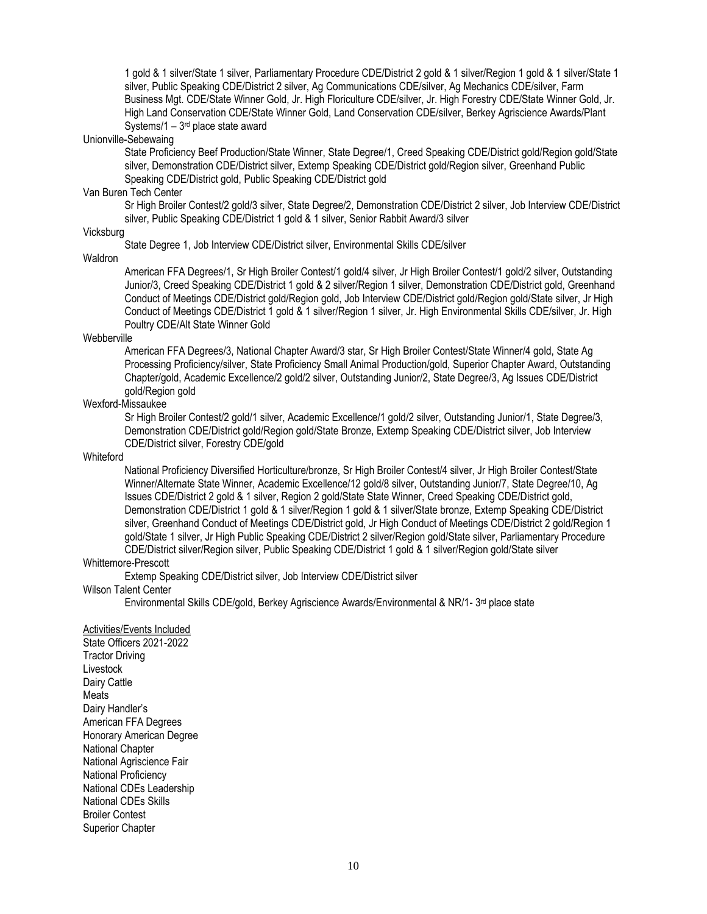1 gold & 1 silver/State 1 silver, Parliamentary Procedure CDE/District 2 gold & 1 silver/Region 1 gold & 1 silver/State 1 silver, Public Speaking CDE/District 2 silver, Ag Communications CDE/silver, Ag Mechanics CDE/silver, Farm Business Mgt. CDE/State Winner Gold, Jr. High Floriculture CDE/silver, Jr. High Forestry CDE/State Winner Gold, Jr. High Land Conservation CDE/State Winner Gold, Land Conservation CDE/silver, Berkey Agriscience Awards/Plant Systems/1 – 3<sup>rd</sup> place state award

### Unionville-Sebewaing

State Proficiency Beef Production/State Winner, State Degree/1, Creed Speaking CDE/District gold/Region gold/State silver, Demonstration CDE/District silver, Extemp Speaking CDE/District gold/Region silver, Greenhand Public Speaking CDE/District gold, Public Speaking CDE/District gold

### Van Buren Tech Center

Sr High Broiler Contest/2 gold/3 silver, State Degree/2, Demonstration CDE/District 2 silver, Job Interview CDE/District silver, Public Speaking CDE/District 1 gold & 1 silver, Senior Rabbit Award/3 silver

# Vicksburg

State Degree 1, Job Interview CDE/District silver, Environmental Skills CDE/silver

Waldron

American FFA Degrees/1, Sr High Broiler Contest/1 gold/4 silver, Jr High Broiler Contest/1 gold/2 silver, Outstanding Junior/3, Creed Speaking CDE/District 1 gold & 2 silver/Region 1 silver, Demonstration CDE/District gold, Greenhand Conduct of Meetings CDE/District gold/Region gold, Job Interview CDE/District gold/Region gold/State silver, Jr High Conduct of Meetings CDE/District 1 gold & 1 silver/Region 1 silver, Jr. High Environmental Skills CDE/silver, Jr. High Poultry CDE/Alt State Winner Gold

## **Webberville**

American FFA Degrees/3, National Chapter Award/3 star, Sr High Broiler Contest/State Winner/4 gold, State Ag Processing Proficiency/silver, State Proficiency Small Animal Production/gold, Superior Chapter Award, Outstanding Chapter/gold, Academic Excellence/2 gold/2 silver, Outstanding Junior/2, State Degree/3, Ag Issues CDE/District gold/Region gold

## Wexford-Missaukee

Sr High Broiler Contest/2 gold/1 silver, Academic Excellence/1 gold/2 silver, Outstanding Junior/1, State Degree/3, Demonstration CDE/District gold/Region gold/State Bronze, Extemp Speaking CDE/District silver, Job Interview CDE/District silver, Forestry CDE/gold

### **Whiteford**

National Proficiency Diversified Horticulture/bronze, Sr High Broiler Contest/4 silver, Jr High Broiler Contest/State Winner/Alternate State Winner, Academic Excellence/12 gold/8 silver, Outstanding Junior/7, State Degree/10, Ag Issues CDE/District 2 gold & 1 silver, Region 2 gold/State State Winner, Creed Speaking CDE/District gold, Demonstration CDE/District 1 gold & 1 silver/Region 1 gold & 1 silver/State bronze, Extemp Speaking CDE/District silver, Greenhand Conduct of Meetings CDE/District gold, Jr High Conduct of Meetings CDE/District 2 gold/Region 1 gold/State 1 silver, Jr High Public Speaking CDE/District 2 silver/Region gold/State silver, Parliamentary Procedure CDE/District silver/Region silver, Public Speaking CDE/District 1 gold & 1 silver/Region gold/State silver

### Whittemore-Prescott

Extemp Speaking CDE/District silver, Job Interview CDE/District silver

## Wilson Talent Center

Environmental Skills CDE/gold, Berkey Agriscience Awards/Environmental & NR/1- 3<sup>rd</sup> place state

### Activities/Events Included

State Officers 2021-2022 Tractor Driving Livestock Dairy Cattle Meats Dairy Handler's American FFA Degrees Honorary American Degree National Chapter National Agriscience Fair National Proficiency National CDEs Leadership National CDEs Skills Broiler Contest Superior Chapter